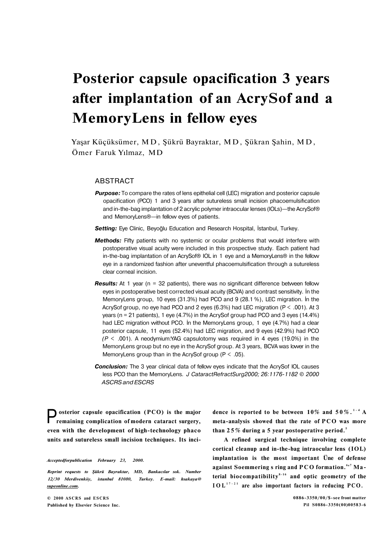# **Posterior capsule opacification 3 years after implantation of an AcrySof and a MemoryLens in fellow eyes**

Yaşar Küçüksümer, MD , Şükrü Bayraktar, MD , Şükran Şahin, MD , Ömer Faruk Yılmaz, MD

## **ABSTRACT**

**Purpose:** To compare the rates of lens epithelial cell (LEC) migration and posterior capsule opacification (PCO) 1 and 3 years after sutureless small incision phacoemulsifıcation and in-the-bag implantation of 2 acrylic polymer intraocular lenses (lOLs)—the AcrySof® and MemoryLens®—in fellow eyes of patients.

*Setting:* Eye Clinic, Beyoğlu Education and Research Hospital, İstanbul, Turkey.

- **Methods:** Fifty patients with no systemic or ocular problems that would interfere with postoperative visual acuity were included in this prospective study. Each patient had in-the-bag implantation of an AcrySof® IOL in 1 eye and a MemoryLens® in the fellow eye in a randomized fashion after uneventful phacoemulsification through a sutureless clear corneal incision.
- **Results:** At 1 year (n = 32 patients), there was no significant difference between fellow eyes in postoperative best corrected visual acuity (BCVA) and contrast sensitivity. İn the MemoryLens group, 10 eyes (31.3%) had PCO and 9 (28.1 %), LEC migration. İn the AcrySof group, no eye had PCO and 2 eyes (6.3%) had LEC migration (P < .001). At 3 years (n = 21 patients), 1 eye (4.7%) in the AcrySof group had PCO and 3 eyes (14.4%) had LEC migration vvithout PCO. İn the MemoryLens group, 1 eye (4.7%) had a clear posterior capsule, 11 eyes (52.4%) had LEC migration, and 9 eyes (42.9%) had PCO *(P <* .001). A neodymium:YAG capsulotomy was required in 4 eyes (19.0%) in the MemoryLens group but no eye in the AcrySof group. At 3 years, BCVA was lower in the MemoryLens group than in the AcrySof group ( $P < .05$ ).
- **Conclusion:** The 3 year clinical data of fellow eyes indicate that the AcrySof IOL causes less PCO than the MemoryLens. *J CataractRefractSurg2000; 26:1176-1182 © 2000 ASCRS and ESCRS*

**P** osterior capsule opacification (PCO) is the major remaining complication of modern cataract surgery, **osterior capsule opacification (PCO) is the major even with the development of high-technology phaco units and sutureless small incision techniques. Its inci-**

*Acceptedforpublication February 23, 2000.* 

*Reprint requests to Şükrü Bayraktar, MD, Bankacılar sok. Number 12/30 Merdivenköy, istanbul 81080, Turkey. E-mail: hsakaya@ [supeonline.com.](http://supeonline.com)* 

**© 2000 ASCRS and ESCRS Published by Elsevier Science Inc.**  dence is reported to be between  $10\%$  and  $50\%$ .<sup>1-4</sup> A **meta-analysis showed that the rate of PCO was more than 25 % during a 5 year postoperative period.<sup>5</sup>**

**A refined surgical technique involving complete cortical cleanup and in-the-bag intraocular lens (IOL) implantation is the most important Üne of defense against Soemmering s ring and PC O formation. <sup>6</sup> ' 7 Material biocompatibility 8-1 <sup>6</sup> and optic geometry of the IOL 17-2 <sup>1</sup> are also important factors in reducing PCO.**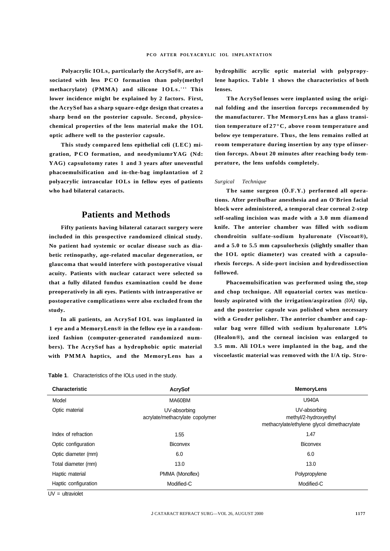**Polyacrylic IOLs, particularly the AcrySof®, are associated with less PCO formation than poly(methyl methacrylate) (PMMA) and silicone IOLs. <sup>1</sup> ' 6 This lower incidence might be explained by 2 factors. First, the AcrySof has a sharp square-edge design that creates a sharp bend on the posterior capsule. Second, physicochemical properties of the lens material make the IOL optic adhere well to the posterior capsule.** 

**This study compared lens epithelial celi (LEC) migration, PC O formation, and neodymiumrYAG (Nd: YAG) capsulotomy rates 1 and 3 years after uneventful phacoemulsification and in-the-bag implantation of 2 polyacrylic intraocular IOLs in fellow eyes of patients who had bilateral cataracts.** 

# **Patients and Methods**

**Fifty patients having bilateral cataract surgery were included in this prospective randomized clinical study. No patient had systemic or ocular disease such as diabetic retinopathy, age-related macular degeneration, or glaucoma that would interfere with postoperative visual acuity. Patients with nuclear cataract were selected so that a fully dilated fundus examination could be done preoperatively in ali eyes. Patients with intraoperative or postoperative complications were also excluded from the study.** 

**In ali patients, an AcrySof IOL was implanted in 1 eye and a MemoryLens® in the fellow eye in a randomized fashion (computer-generated randomized numbers). The AcrySof has a hydrophobic optic material with PMMA haptics, and the MemoryLens has a**  **hydrophilic acrylic optic material with polypropylene haptics. Table 1 shows the characteristics of both lenses.** 

**The AcrySof lenses were implanted using the original folding and the insertion forceps recommended by the manufacturer. The MemoryLens has a glass transition temperature of 27°C, above room temperature and below eye temperature. Thus, the lens remains rolled at room temperature during insertion by any type of insertion forceps. About 20 minutes after reaching body temperature, the lens unfolds completely.** 

#### *Surgical Technique*

**The same surgeon (Ö.F.Y.) performed all operations. After peribulbar anesthesia and an O'Brien facial block were administered, a temporal clear corneal 2-step self-sealing incision was made with a 3.0 mm diamond knife. The anterior chamber was filled with sodium chondroitin sulfate-sodium hyaluronate (Viscoat®), and a 5.0 to 5.5 mm capsulorhexis (slightly smaller than the IOL optic diameter) was created with a capsulorhexis forceps. A side-port incision and hydrodissection followed.** 

**Phacoemulsification was performed using the, stop and chop technique. All equatorial cortex was meticulously aspirated with the irrigation/aspiration** (l/A) **tip, and the posterior capsule was polished when necessary with a Geuder polisher. The anterior chamber and capsular bag were filled with sodium hyaluronate 1.0% (Healon®), and the corneal incision was enlarged to 3.5 mm. Ali IOLs were implanted in the bag, and the viscoelastic material was removed with the I/A tip. Stro-**

| <b>Table 1.</b> Characteristics of the IOLs used in the study. |  |  |  |  |
|----------------------------------------------------------------|--|--|--|--|
|----------------------------------------------------------------|--|--|--|--|

| Characteristic       | <b>AcrySof</b>                                  | <b>MemoryLens</b>                                                                    |  |  |
|----------------------|-------------------------------------------------|--------------------------------------------------------------------------------------|--|--|
| Model                | MA60BM                                          | <b>U940A</b>                                                                         |  |  |
| Optic material       | UV-absorbing<br>acrylate/methacrylate copolymer | UV-absorbing<br>methyl/2-hydroxyethyl<br>methacrylate/ethylene glycol dimethacrylate |  |  |
| Index of refraction  | 1.55                                            | 1.47                                                                                 |  |  |
| Optic configuration  | Biconvex                                        | Biconvex                                                                             |  |  |
| Optic diameter (mm)  | 6.0                                             | 6.0                                                                                  |  |  |
| Total diameter (mm)  | 13.0                                            | 13.0                                                                                 |  |  |
| Haptic material      | PMMA (Monoflex)                                 | Polypropylene                                                                        |  |  |
| Haptic configuration | Modified-C                                      | Modified-C                                                                           |  |  |

UV = ultraviolet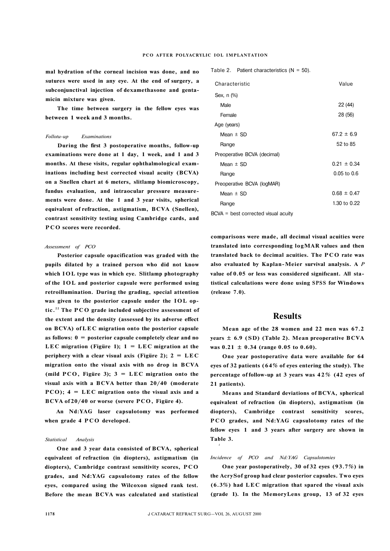**mal hydration of the corneal incision was done, and no sutures were used in any eye. At the end of surgery, a subconjunctival injection of dexamethasone and gentamicin mixture was given.** 

**The time between surgery in the fellow eyes was between 1 week and 3 months.** 

#### *Follotu-up Examinations*

**During the fîrst 3 postoperative months, follow-up examinations were done at 1 day, 1 week, and 1 and 3 months. At these visits, regular ophthalmological examinations including best corrected visual acuity (BCVA) on a Snellen chart at 6 meters, slitlamp biomicroscopy, fundus evaluation, and intraocular pressure measurements were done. At the 1 and 3 year visits, spherical equivalent of refraction, astigmatism, BCVA (Snellen), contrast sensitivity testing using Cambridge cards, and P CO scores were recorded.** 

### *Assessment of PCO*

**Posterior capsule opacification was graded with the pupils dilated by a trained person who did not know which IOL type was in which eye. Slitlamp photography of the IOL and posterior capsule were performed using retroillumination. During the grading, special attention was given to the posterior capsule under the IOL optic. <sup>2</sup> <sup>2</sup> The PC O grade included subjective assessment of the extent and the density (assessed by its adverse effect on BCVA) of LE C migration onto the posterior capsule as follows: 0 = posterior capsule completely clear and no**  LEC migration (Figure 1);  $1 = LEC$  migration at the **periphery with a clear visual axis (Figure 2);**  $2 = LEC$ **migration onto the visual axis with no drop in BCVA**  (mild PCO, Figüre 3);  $3 = LEC$  migration onto the **visual axis with a BCVA better than 20/40 (moderate PCO); 4 = LE C migration onto the visual axis and a BCVA of 20/40 or worse (severe PCO, Figüre 4).** 

**An Nd:YAG laser capsulotomy was performed when grade 4 PCO developed.** 

### *Statistical Analysis*

**One and 3 year data consisted of BCVA, spherical equivalent of refraction (in diopters), astigmatism (in diopters), Cambridge contrast sensitivity scores, PCO grades, and Nd:YAG capsulotomy rates of the fellow eyes, compared using the Wilcoxon signed rank test. Before the mean BCVA was calculated and statistical**  **Table 2.** Patient characteristics (N = 50).

| Characteristic                        | Value           |
|---------------------------------------|-----------------|
| Sex, n (%)                            |                 |
| Male                                  | 22 (44)         |
| Female                                | 28 (56)         |
| Age (years)                           |                 |
| Mean $\pm$ SD                         | $67.2 \pm 6.9$  |
| Range                                 | 52 to 85        |
| Preoperative BCVA (decimal)           |                 |
| Mean $\pm$ SD                         | $0.21 \pm 0.34$ |
| Range                                 | $0.05$ to $0.6$ |
| Preoperative BCVA (logMAR)            |                 |
| Mean $\pm$ SD                         | $0.68 \pm 0.47$ |
| Range                                 | 1.30 to 0.22    |
| $BCVA = best corrected visual acuity$ |                 |

**comparisons were made, all decimal visual acuities were translated into corresponding logMAR values and then translated back to decimal acuities. The PCO rate was also evaluated by Kaplan-Meier survival analysis. A** *P*  **value of 0.05 or less was considered signifıcant. All statistical calculations were done using SPSS for Windows (release 7.0).** 

## **Results**

**Mean age of the 28 women and 22 men was 67.2 years ± 6.9 (SD) (Table 2). Mean preoperative BCVA was 0.21 ± 0.34 (range 0.05 to 0.60).** 

**One year postoperative data were available for 64 eyes of 32 patients (64% of eyes entering the study). The percentage of follow-up at 3 years was 42 % (42 eyes of 21 patients).** 

**Means and Standard deviations of BCVA, spherical equivalent of refraction (in diopters), astigmatism (in diopters), Cambridge contrast sensitivity scores, P CO grades, and Nd:YAG capsulotomy rates of the fellow eyes 1 and 3 years after surgery are shown in Table 3.** 

#### *Incidence of PCO and Nd:YAG Capsulotomies*

**One year postoperatively, 30 of 32 eyes (93.7%) in the AcrySof group had clear posterior capsules. Two eyes (6.3%) had LE C migration that spared the visual axis (grade 1). In the MemoryLens group, 13 of 32 eyes** 

*i*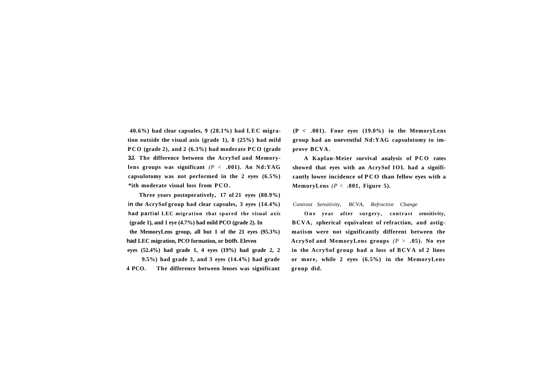**40.6%) had clear capsules, 9 (28.1%) had LE C migration outside the visual axis (grade 1), 8 (25%) had mild P CO (grade 2), and 2 (6.3%) had moderate PCO (grade 3J. The difference between the AcrySof and Memorylens groups was significant** *(P <* **.001). An Nd:YAG capsulotomy was not performed in the 2 eyes (6.5%) \*ith moderate visual loss from PCO.** 

**Three years postoperatively, 17 of 21 eyes (80.9%) in the AcrySof group had clear capsules, 3 eyes (14.4%) had partial LEC migration that spared the visual axis (grade 1), and 1 eye (4.7%) had mild PCO (grade 2). In the MemoryLens group, all but 1 of the 21 eyes (95.3%) had LEC migration, PCO formation, or both. Eleven eyes (52.4%) had grade 1, 4 eyes (19%) had grade 2, 2** 

**9.5%) had grade 3, and 3 eyes (14.4%) had grade 4 PCO. The difference between lenses was significant**  **(P < .001). Four eyes (19.0%) in the MemoryLens group had an uneventful Nd:YAG capsulotomy to improve BCVA.** 

**A Kaplan-Meier survival analysis of PCO rates showed that eyes with an AcrySof IOL had a significantly lower incidence of PCO than fellow eyes with a MemoryLens** *(P <* **.001, Figure 5).** 

*Contrast Sensitivity, BCVA, Refractive Change* 

One vear after surgery, contrast sensitivity, **BCVA, spherical equivalent of refraction, and astigmatism were not significantly different between the AcrySof and MemoryLens groups** *(P >* **.05). No eye**  in the AcrySof group had a loss of BCVA of 2 lines **or more, while 2 eyes (6.5%) in the MemoryLens group did.**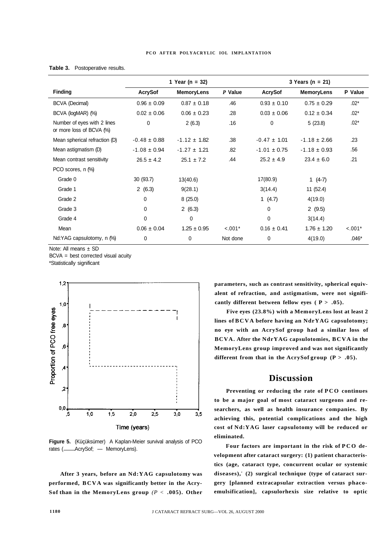|                                                         | 1 Year (n = $32$ ) |                   |           | 3 Years ( $n = 21$ ) |                   |          |  |
|---------------------------------------------------------|--------------------|-------------------|-----------|----------------------|-------------------|----------|--|
| <b>Finding</b>                                          | <b>AcrySof</b>     | <b>MemoryLens</b> | $P$ Value | <b>AcrySof</b>       | <b>MemoryLens</b> | P Value  |  |
| <b>BCVA (Decimal)</b>                                   | $0.96 \pm 0.09$    | $0.87 \pm 0.18$   | .46       | $0.93 \pm 0.10$      | $0.75 \pm 0.29$   | $.02*$   |  |
| BCVA (logMAR) (%)                                       | $0.02 \pm 0.06$    | $0.06 \pm 0.23$   | .28       | $0.03 \pm 0.06$      | $0.12 \pm 0.34$   | $.02*$   |  |
| Number of eyes with 2 lines<br>or more loss of BCVA (%) | 0                  | 2(6.3)            | .16       | 0                    | 5(23.8)           | $.02*$   |  |
| Mean spherical refraction (D)                           | $-0.48 \pm 0.88$   | $-1.12 \pm 1.82$  | .38       | $-0.47 \pm 1.01$     | $-1.18 \pm 2.66$  | .23      |  |
| Mean astigmatism (D)                                    | $-1.08 \pm 0.94$   | $-1.27 \pm 1.21$  | .82       | $-1.01 \pm 0.75$     | $-1.18 \pm 0.93$  | .56      |  |
| Mean contrast sensitivity                               | $26.5 \pm 4.2$     | $25.1 \pm 7.2$    | .44       | $25.2 \pm 4.9$       | $23.4 \pm 6.0$    | .21      |  |
| PCO scores, n (%)                                       |                    |                   |           |                      |                   |          |  |
| Grade 0                                                 | 30 (93.7)          | 13(40.6)          |           | 17(80.9)             | 1 $(4-7)$         |          |  |
| Grade 1                                                 | 2(6.3)             | 9(28.1)           |           | 3(14.4)              | 11 (52.4)         |          |  |
| Grade 2                                                 | 0                  | 8(25.0)           |           | 1 $(4.7)$            | 4(19.0)           |          |  |
| Grade 3                                                 | 0                  | 2(6.3)            |           | 0                    | 2(9.5)            |          |  |
| Grade 4                                                 | 0                  | $\mathbf 0$       |           | $\mathbf 0$          | 3(14.4)           |          |  |
| Mean                                                    | $0.06 \pm 0.04$    | $1.25 \pm 0.95$   | $< .001*$ | $0.16 \pm 0.41$      | $1.76 \pm 1.20$   | $-.001*$ |  |
| Nd:YAG capsulotomy, n (%)                               | 0                  | 0                 | Not done  | 0                    | 4(19.0)           | $.046*$  |  |

#### **Table 3.** Postoperative results.

Note: All means ± SD

BCVA = best corrected visual acuity

\*Statistically significant



**Figure 5.** (Küçüksümer) A Kaplan-Meier survival analysis of PCO rates (-AcrySof; - MemoryLens).

**After 3 years, before an Nd:YAG capsulotomy was performed, BCVA was significantly better in the Acry-Sof than in the MemoryLens group** *(P <* **.005). Other**  **parameters, such as contrast sensitivity, spherical equivalent of refraction, and astigmatism, were not significantly different between fellow eyes (P > .05).** 

**Five eyes (23.8%) with a MemoryLens lost at least 2 lines of BCVA before having an NdrYAG capsulotomy; no eye with an AcrySof group had a similar loss of BCVA. After the NdrYAG capsulotomies, BCVA in the MemoryLens group improved and was not significantly**  different from that in the  $AcrySof group (P > .05)$ .

## **Discussion**

**Preventing or reducing the rate of PCO continues to be a major goal of most cataract surgeons and researchers, as well as health insurance companies. By achieving this, potential complications and the high cost of Nd:YAG laser capsulotomy will be reduced or eliminated.** 

**Four factors are important in the risk of PCO development after cataract surgery: (1) patient characteristics (age, cataract type, concurrent ocular or systemic diseases), <sup>2</sup> (2) surgical technique (type of cataract surgery [planned extracapsular extraction versus phacoemulsification], capsulorhexis size relative to optic**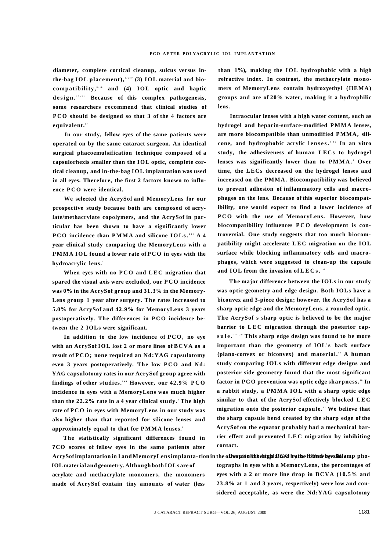**diameter, complete cortical cleanup, sulcus versus inthe-bag IOL placement), 3,6 ' 7 (3) IOL material and biocompatibility, 8-1 <sup>6</sup> and (4) IOL optic and haptic design. 17-2 <sup>1</sup> Because of this complex pathogenesis, some researchers recommend that clinical studies of P CO should be designed so that 3 of the 4 factors are equivalent.**"

**In our study, fellow eyes of the same patients were operated on by the same cataract surgeon. An identical surgical phacoemulsification technique composed of a capsulorhexis smaller than the IOL optic, complete cortical cleanup, and in-the-bag IOL implantation was used in all eyes. Therefore, the first 2 factors known to influence PC O were identical.** 

**We selected the AcrySof and MemoryLens for our prospective study because both are composed of acrylate/methacrylate copolymers, and the AcrySof in particular has been shown to have a significantly lower P CO incidence than PMMA and silicone IOLs. <sup>1</sup> ' 6 A 4 year clinical study comparing the MemoryLens with a PMMA IOL found a lower rate of PC O in eyes with the hydroacrylic lens. <sup>4</sup>**

When eyes with no PCO and LEC migration that **spared the visual axis were excluded, our PCO incidence was 0% in the AcrySof group and 31.3% in the Memory-Lens group 1 year after surgery. The rates increased to 5.0% for AcrySof and 42.9% for MemoryLens 3 years postoperatively. The differences in PC O incidence between the 2 IOLs were significant.** 

**In addition to the low incidence of PCO, no eye with an AcrySof IOL lost 2 or more lines of BCVA as a result of PCO; none required an Nd:YAG capsulotomy even 3 years postoperatively. The low PCO and Nd: YAG capsulotomy rates in our AcrySof group agree with**  findings of other studies." However, our 42.9% PCO **incidence in eyes with a MemoryLens was much higher than the 22.2% rate in a 4 year clinical study. <sup>4</sup> The high rate of PCO in eyes with MemoryLens in our study was also higher than that reported for silicone lenses and approximately equal to that for PMMA lenses. <sup>1</sup>**

**The statistically significant differences found in 7CO scores of fellow eyes in the same patients after** 

**IOL material and geometry. Although both IOLs are of acrylate and methacrylate monomers, the monomers made of AcrySof contain tiny amounts of water (less** 

**than 1%), making the IOL hydrophobic with a high refractive index. In contrast, the methacrylate monomers of MemoryLens contain hydroxyethyl (HEMA) groups and are of 20% water, making it a hydrophilic lens.** 

**Intraocular lenses with a high water content, such as hydrogel and heparin-surface-modified PMMA lenses, are more biocompatible than unmodified PMMA, silicone, and hydrophobic acrylic lenses. 8-1 <sup>2</sup> In an vitro study, the adhesiveness of human LECs to hydrogel**  lenses was significantly lower than to PMMA.<sup>8</sup> Over **time, the LECs decreased on the hydrogel lenses and increased on the PMMA. Biocompatibility was believed to prevent adhesion of inflammatory cells and macrophages on the lens. Because of this superior biocompatibility, one would expect to find a lower incidence of P C O with the use of MemoryLens. However, how**  biocompatibility influences PCO development is con**troversial. One study suggests that too much biocompatibility might accelerate LE C migration on the IOL surface while blocking inflammatory cells and macrophages, which were suggested to clean-up the capsule and IOL from the invasion of LECs. <sup>1</sup> <sup>6</sup>**

**The major difference between the IOLs in our study was optic geometry and edge design. Both IOLs have a biconvex and 3-piece design; however, the AcrySof has a sharp optic edge and the MemoryLens, a rounded optic. The AcrySof s sharp optic is believed to be the major**  barrier to LEC migration through the posterior cap**sule. 17-2 <sup>0</sup> This sharp edge design was found to be more important than the geometry of IOL's back surface**  (plano-convex or biconvex) and material.<sup>18</sup> A human **study comparing IOLs with different edge designs and posterior side geometry found that the most significant factor in PCO prevention was optic edge sharpness. <sup>1</sup> <sup>8</sup> In a rabbit study, a PMMA IOL with a sharp optic edge similar to that of the AcrySof effectively blocked LE C migration onto the posterior capsule. <sup>1</sup> <sup>7</sup> We believe that the sharp capsule bend created by the sharp edge of the AcrySof on the equator probably had a mechanical barrier effect and prevented LE C migration by inhibiting contact.** 

AcrySof implantation in 1 and MemoryLens implanta- tion in the o**fhespion hibbeligh! A GeO by the fiiffere by**eslid amp pho**tographs in eyes with a MemoryLens, the percentages of eyes with a 2 or more line drop in BCVA (10.5% and 23.8% at 1 and 3 years, respectively) were low and considered acceptable, as were the Nd:YAG capsulotomy**